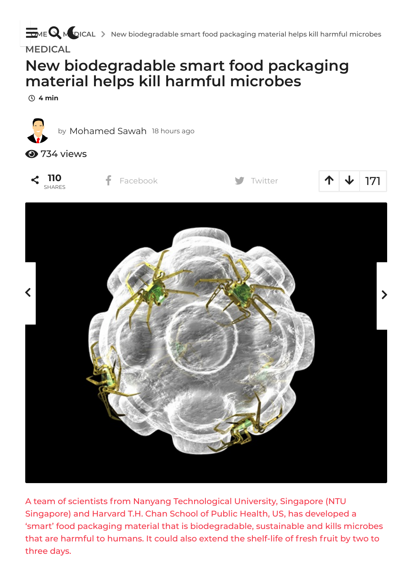**[HOME](https://trendfool.com/) M** DICAL > New [biodegradable](https://trendfool.com/medical/new-biodegradable-smart-food-packaging-material-helps-kill-harmful-microbes/) smart food packaging material helps kill harmful microbes

**[MEDICAL](https://trendfool.com/section/medical/)**

# **New biodegradable smart food packaging material helps kill harmful microbes**

**4 min**



A team of scientists from Nanyang Technological University, Singapore (NTU Singapore) and Harvard T.H. Chan School of Public Health, US, has developed a 'smart' food packaging material that is biodegradable, sustainable and kills microbes that are harmful to humans. It could also extend the shelf-life of fresh fruit by two to three days.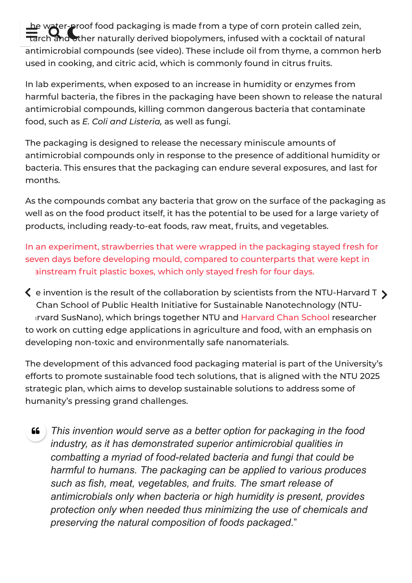The water-proof food packaging is made from a type of corn protein called zein,<br>Tarch and ther naturally derived biopolymers, infused with a cocktail of natural rch and other naturally derived biopolymers, infused with a cocktail of natural antimicrobial compounds (see video). These include oil from thyme, a common herb used in cooking, and citric acid, which is commonly found in citrus fruits.

In lab experiments, when exposed to an increase in humidity or enzymes from harmful bacteria, the fibres in the packaging have been shown to release the natural antimicrobial compounds, killing common dangerous bacteria that contaminate food, such as *E. Coli and Listeria,* as well as fungi.

The packaging is designed to release the necessary miniscule amounts of antimicrobial compounds only in response to the presence of additional humidity or bacteria. This ensures that the packaging can endure several exposures, and last for months.

As the compounds combat any bacteria that grow on the surface of the packaging as well as on the food product itself, it has the potential to be used for a large variety of products, including ready-to-eat foods, raw meat, fruits, and vegetables.

In an experiment, strawberries that were wrapped in the packaging stayed fresh for seven days before developing mould, compared to counterparts that were kept in ainstream fruit plastic boxes, which only stayed fresh for four days.

 $\blacklozenge$  e invention is the result of the collaboration by scientists from the NTU-Harvard T  $\blacktriangleright$ Chan School of Public Health Initiative for Sustainable Nanotechnology (NTU-Irvard SusNano), which brings together NTU and Harvard Chan School researcher to work on cutting edge applications in agriculture and food, with an emphasis on developing non-toxic and environmentally safe nanomaterials.

The development of this advanced food packaging material is part of the University's efforts to promote sustainable food tech solutions, that is aligned with the NTU 2025 strategic plan, which aims to develop sustainable solutions to address some of humanity's pressing grand challenges.

*This invention would serve as a better option for packaging in the food industry, as it has demonstrated superior antimicrobial qualities in combatting a myriad of food-related bacteria and fungi that could be harmful to humans. The packaging can be applied to various produces such as fish, meat, vegetables, and fruits. The smart release of antimicrobials only when bacteria or high humidity is present, provides protection only when needed thus minimizing the use of chemicals and preserving the natural composition of foods packaged*." 66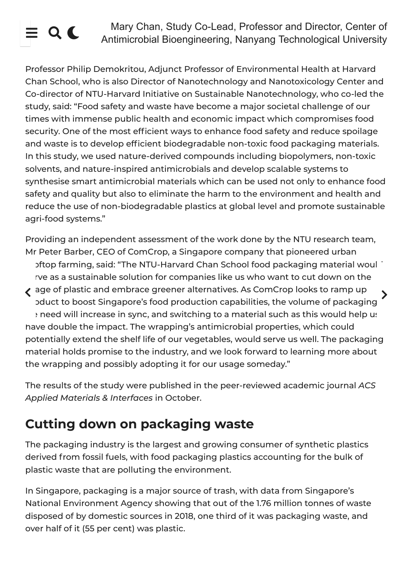Mary Chan, Study Co-Lead, Professor and Director, Center of<br>
Antimicrobial Bioengineering, Nanyang Technological University

Professor Philip Demokritou, Adjunct Professor of Environmental Health at Harvard Chan School, who is also Director of Nanotechnology and Nanotoxicology Center and Co-director of NTU-Harvard Initiative on Sustainable Nanotechnology, who co-led the study, said: "Food safety and waste have become a major societal challenge of our times with immense public health and economic impact which compromises food security. One of the most efficient ways to enhance food safety and reduce spoilage and waste is to develop efficient biodegradable non-toxic food packaging materials. In this study, we used nature-derived compounds including biopolymers, non-toxic solvents, and nature-inspired antimicrobials and develop scalable systems to synthesise smart antimicrobial materials which can be used not only to enhance food safety and quality but also to eliminate the harm to the environment and health and reduce the use of non-biodegradable plastics at global level and promote sustainable agri-food systems."

Providing an independent assessment of the work done by the NTU research team, Mr Peter Barber, CEO of ComCrop, a Singapore company that pioneered urban oftop farming, said: "The NTU-Harvard Chan School food packaging material would rve as a sustainable solution for companies like us who want to cut down on the  $\langle \begin{array}{l} \texttt{age of plastic and embrace greener alternatives. As ComCrop looks to ramp up} \end{array} \rangle$ pduct to boost Singapore's food production capabilities, the volume of packaging a need will increase in sync, and switching to a material such as this would help us have double the impact. The wrapping's antimicrobial properties, which could potentially extend the shelf life of our vegetables, would serve us well. The packaging material holds promise to the industry, and we look forward to learning more about the wrapping and possibly adopting it for our usage someday."

The results of the study were published in the peer-reviewed academic journal *ACS Applied Materials & Interfaces* in October.

## **Cutting down on packaging waste**

The packaging industry is the largest and growing consumer of synthetic plastics derived from fossil fuels, with food packaging plastics accounting for the bulk of plastic waste that are polluting the environment.

In Singapore, packaging is a major source of trash, with data from Singapore's National Environment Agency showing that out of the 1.76 million tonnes of waste disposed of by domestic sources in 2018, one third of it was packaging waste, and over half of it (55 per cent) was plastic.